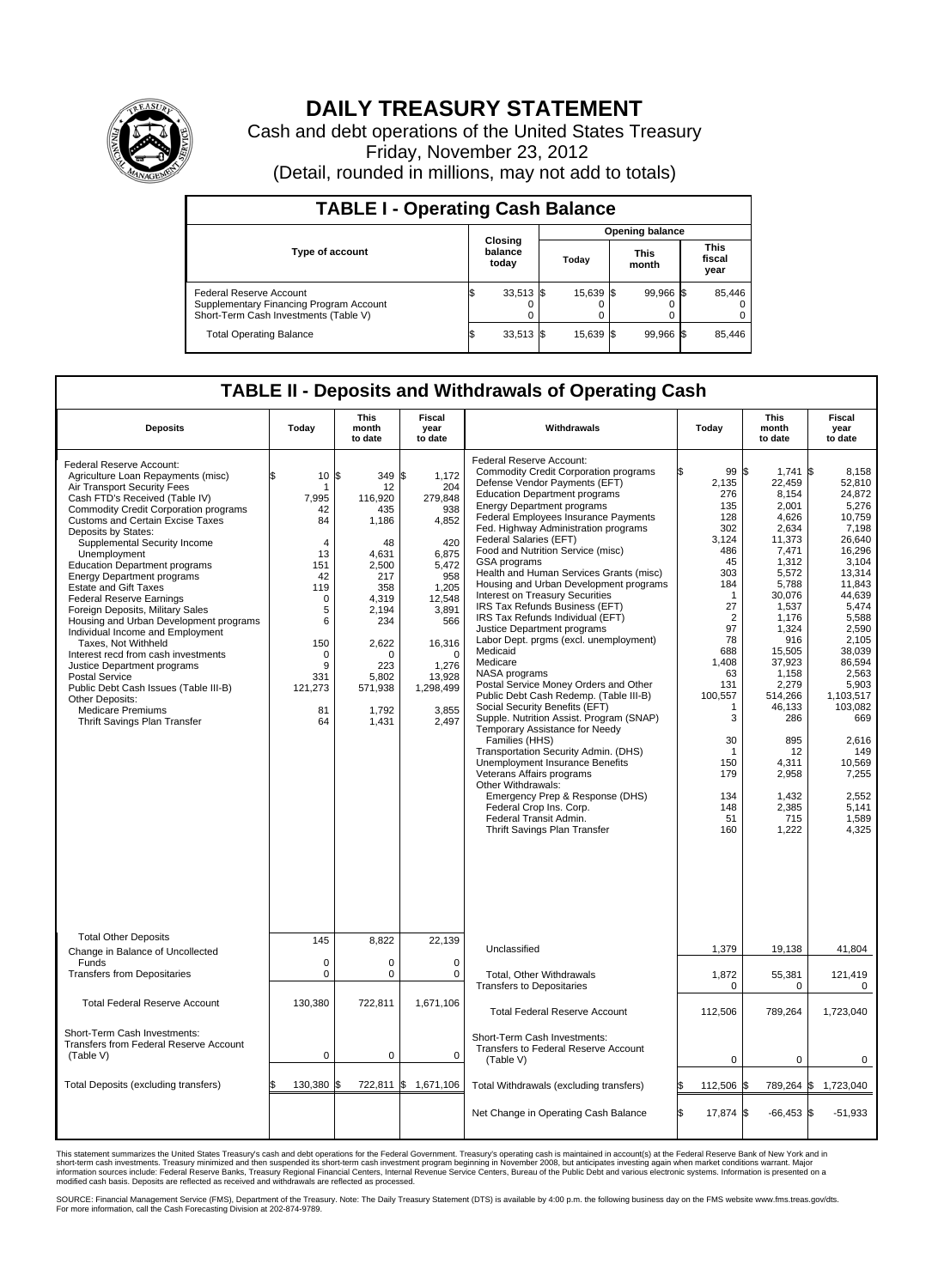

## **DAILY TREASURY STATEMENT**

Cash and debt operations of the United States Treasury Friday, November 23, 2012 (Detail, rounded in millions, may not add to totals)

| <b>TABLE I - Operating Cash Balance</b>                                                                     |                             |                  |                 |                      |           |                               |                         |  |
|-------------------------------------------------------------------------------------------------------------|-----------------------------|------------------|-----------------|----------------------|-----------|-------------------------------|-------------------------|--|
|                                                                                                             |                             |                  | Opening balance |                      |           |                               |                         |  |
| <b>Type of account</b>                                                                                      | Closing<br>balance<br>today |                  | Today           | <b>This</b><br>month |           | <b>This</b><br>fiscal<br>year |                         |  |
| Federal Reserve Account<br>Supplementary Financing Program Account<br>Short-Term Cash Investments (Table V) |                             | $33,513$ \$<br>0 | 15,639 \$       |                      | 99,966 \$ |                               | 85,446<br>$\Omega$<br>0 |  |
| <b>Total Operating Balance</b>                                                                              |                             | $33,513$ \$      | 15,639 \$       |                      | 99,966 \$ |                               | 85,446                  |  |

## **TABLE II - Deposits and Withdrawals of Operating Cash**

| <b>Deposits</b>                                                                                                                                                                                                                                                                                                                                                                                                                                                                                                                                                                                                                                                                                                                                                                                     | Today                                                                                                                       | <b>This</b><br>month<br>to date                                                                                                                                          | Fiscal<br>year<br>to date                                                                                                                                                                    | Withdrawals                                                                                                                                                                                                                                                                                                                                                                                                                                                                                                                                                                                                                                                                                                                                                                                                                                                                                                                                                                                                                                                                                                                                             | Today                                                                                                                                                                                                                                    | This<br>month<br>to date                                                                                                                                                                                                                                                              | Fiscal<br>year<br>to date                                                                                                                                                                                                                                                                        |
|-----------------------------------------------------------------------------------------------------------------------------------------------------------------------------------------------------------------------------------------------------------------------------------------------------------------------------------------------------------------------------------------------------------------------------------------------------------------------------------------------------------------------------------------------------------------------------------------------------------------------------------------------------------------------------------------------------------------------------------------------------------------------------------------------------|-----------------------------------------------------------------------------------------------------------------------------|--------------------------------------------------------------------------------------------------------------------------------------------------------------------------|----------------------------------------------------------------------------------------------------------------------------------------------------------------------------------------------|---------------------------------------------------------------------------------------------------------------------------------------------------------------------------------------------------------------------------------------------------------------------------------------------------------------------------------------------------------------------------------------------------------------------------------------------------------------------------------------------------------------------------------------------------------------------------------------------------------------------------------------------------------------------------------------------------------------------------------------------------------------------------------------------------------------------------------------------------------------------------------------------------------------------------------------------------------------------------------------------------------------------------------------------------------------------------------------------------------------------------------------------------------|------------------------------------------------------------------------------------------------------------------------------------------------------------------------------------------------------------------------------------------|---------------------------------------------------------------------------------------------------------------------------------------------------------------------------------------------------------------------------------------------------------------------------------------|--------------------------------------------------------------------------------------------------------------------------------------------------------------------------------------------------------------------------------------------------------------------------------------------------|
| Federal Reserve Account:<br>Agriculture Loan Repayments (misc)<br>Air Transport Security Fees<br>Cash FTD's Received (Table IV)<br>Commodity Credit Corporation programs<br><b>Customs and Certain Excise Taxes</b><br>Deposits by States:<br>Supplemental Security Income<br>Unemployment<br><b>Education Department programs</b><br><b>Energy Department programs</b><br><b>Estate and Gift Taxes</b><br><b>Federal Reserve Earnings</b><br>Foreign Deposits, Military Sales<br>Housing and Urban Development programs<br>Individual Income and Employment<br>Taxes, Not Withheld<br>Interest recd from cash investments<br>Justice Department programs<br>Postal Service<br>Public Debt Cash Issues (Table III-B)<br>Other Deposits:<br><b>Medicare Premiums</b><br>Thrift Savings Plan Transfer | 10 S<br>1<br>7.995<br>42<br>84<br>4<br>13<br>151<br>42<br>119<br>0<br>5<br>6<br>150<br>0<br>9<br>331<br>121,273<br>81<br>64 | 349<br>12<br>116.920<br>435<br>1,186<br>48<br>4,631<br>2,500<br>217<br>358<br>4,319<br>2,194<br>234<br>2,622<br>$\mathbf 0$<br>223<br>5.802<br>571,938<br>1,792<br>1,431 | 1,172<br>l\$<br>204<br>279,848<br>938<br>4,852<br>420<br>6,875<br>5,472<br>958<br>1,205<br>12,548<br>3,891<br>566<br>16,316<br>$\mathbf 0$<br>1,276<br>13,928<br>1,298,499<br>3,855<br>2,497 | Federal Reserve Account:<br><b>Commodity Credit Corporation programs</b><br>Defense Vendor Payments (EFT)<br><b>Education Department programs</b><br><b>Energy Department programs</b><br>Federal Employees Insurance Payments<br>Fed. Highway Administration programs<br>Federal Salaries (EFT)<br>Food and Nutrition Service (misc)<br>GSA programs<br>Health and Human Services Grants (misc)<br>Housing and Urban Development programs<br>Interest on Treasury Securities<br>IRS Tax Refunds Business (EFT)<br>IRS Tax Refunds Individual (EFT)<br>Justice Department programs<br>Labor Dept. prgms (excl. unemployment)<br>Medicaid<br>Medicare<br>NASA programs<br>Postal Service Money Orders and Other<br>Public Debt Cash Redemp. (Table III-B)<br>Social Security Benefits (EFT)<br>Supple. Nutrition Assist. Program (SNAP)<br>Temporary Assistance for Needy<br>Families (HHS)<br>Transportation Security Admin. (DHS)<br><b>Unemployment Insurance Benefits</b><br>Veterans Affairs programs<br>Other Withdrawals:<br>Emergency Prep & Response (DHS)<br>Federal Crop Ins. Corp.<br>Federal Transit Admin.<br>Thrift Savings Plan Transfer | 99 \$<br>2,135<br>276<br>135<br>128<br>302<br>3,124<br>486<br>45<br>303<br>184<br>$\mathbf{1}$<br>27<br>$\overline{2}$<br>97<br>78<br>688<br>1,408<br>63<br>131<br>100,557<br>1<br>3<br>30<br>1<br>150<br>179<br>134<br>148<br>51<br>160 | $1,741$ \$<br>22,459<br>8,154<br>2,001<br>4,626<br>2,634<br>11,373<br>7,471<br>1,312<br>5,572<br>5,788<br>30,076<br>1,537<br>1,176<br>1,324<br>916<br>15,505<br>37,923<br>1,158<br>2,279<br>514,266<br>46,133<br>286<br>895<br>12<br>4,311<br>2,958<br>1,432<br>2,385<br>715<br>1,222 | 8.158<br>52,810<br>24,872<br>5,276<br>10.759<br>7,198<br>26,640<br>16.296<br>3,104<br>13,314<br>11,843<br>44.639<br>5,474<br>5,588<br>2,590<br>2,105<br>38.039<br>86,594<br>2,563<br>5,903<br>1,103,517<br>103,082<br>669<br>2,616<br>149<br>10,569<br>7,255<br>2,552<br>5,141<br>1,589<br>4,325 |
| <b>Total Other Deposits</b><br>Change in Balance of Uncollected                                                                                                                                                                                                                                                                                                                                                                                                                                                                                                                                                                                                                                                                                                                                     | 145                                                                                                                         | 8,822                                                                                                                                                                    | 22,139                                                                                                                                                                                       | Unclassified                                                                                                                                                                                                                                                                                                                                                                                                                                                                                                                                                                                                                                                                                                                                                                                                                                                                                                                                                                                                                                                                                                                                            | 1,379                                                                                                                                                                                                                                    | 19,138                                                                                                                                                                                                                                                                                | 41,804                                                                                                                                                                                                                                                                                           |
| Funds<br><b>Transfers from Depositaries</b>                                                                                                                                                                                                                                                                                                                                                                                                                                                                                                                                                                                                                                                                                                                                                         | 0<br>0                                                                                                                      | 0<br>$\pmb{0}$                                                                                                                                                           | 0<br>$\mathbf 0$                                                                                                                                                                             | Total, Other Withdrawals<br><b>Transfers to Depositaries</b>                                                                                                                                                                                                                                                                                                                                                                                                                                                                                                                                                                                                                                                                                                                                                                                                                                                                                                                                                                                                                                                                                            | 1,872<br>0                                                                                                                                                                                                                               | 55,381<br>$\mathbf 0$                                                                                                                                                                                                                                                                 | 121,419<br>0                                                                                                                                                                                                                                                                                     |
| <b>Total Federal Reserve Account</b>                                                                                                                                                                                                                                                                                                                                                                                                                                                                                                                                                                                                                                                                                                                                                                | 130,380                                                                                                                     | 722,811                                                                                                                                                                  | 1,671,106                                                                                                                                                                                    | <b>Total Federal Reserve Account</b>                                                                                                                                                                                                                                                                                                                                                                                                                                                                                                                                                                                                                                                                                                                                                                                                                                                                                                                                                                                                                                                                                                                    | 112,506                                                                                                                                                                                                                                  | 789,264                                                                                                                                                                                                                                                                               | 1,723,040                                                                                                                                                                                                                                                                                        |
| Short-Term Cash Investments:<br>Transfers from Federal Reserve Account<br>(Table V)                                                                                                                                                                                                                                                                                                                                                                                                                                                                                                                                                                                                                                                                                                                 | 0                                                                                                                           | $\mathbf 0$                                                                                                                                                              | $\mathbf 0$                                                                                                                                                                                  | Short-Term Cash Investments:<br>Transfers to Federal Reserve Account<br>(Table V)                                                                                                                                                                                                                                                                                                                                                                                                                                                                                                                                                                                                                                                                                                                                                                                                                                                                                                                                                                                                                                                                       | 0                                                                                                                                                                                                                                        | 0                                                                                                                                                                                                                                                                                     | 0                                                                                                                                                                                                                                                                                                |
| Total Deposits (excluding transfers)                                                                                                                                                                                                                                                                                                                                                                                                                                                                                                                                                                                                                                                                                                                                                                | 130,380 \$                                                                                                                  |                                                                                                                                                                          | 722,811 \$ 1,671,106                                                                                                                                                                         | Total Withdrawals (excluding transfers)                                                                                                                                                                                                                                                                                                                                                                                                                                                                                                                                                                                                                                                                                                                                                                                                                                                                                                                                                                                                                                                                                                                 | 112,506                                                                                                                                                                                                                                  | 789,264 \$                                                                                                                                                                                                                                                                            | 1,723,040                                                                                                                                                                                                                                                                                        |
|                                                                                                                                                                                                                                                                                                                                                                                                                                                                                                                                                                                                                                                                                                                                                                                                     |                                                                                                                             |                                                                                                                                                                          |                                                                                                                                                                                              | Net Change in Operating Cash Balance                                                                                                                                                                                                                                                                                                                                                                                                                                                                                                                                                                                                                                                                                                                                                                                                                                                                                                                                                                                                                                                                                                                    | l\$<br>17,874 \$                                                                                                                                                                                                                         | $-66,453$ \$                                                                                                                                                                                                                                                                          | $-51,933$                                                                                                                                                                                                                                                                                        |

This statement summarizes the United States Treasury's cash and debt operations for the Federal Government. Treasury's operating cash is maintained in account(s) at the Federal Reserve Bank of New York and in<br>short-term ca

SOURCE: Financial Management Service (FMS), Department of the Treasury. Note: The Daily Treasury Statement (DTS) is available by 4:00 p.m. the following business day on the FMS website www.fms.treas.gov/dts.<br>For more infor